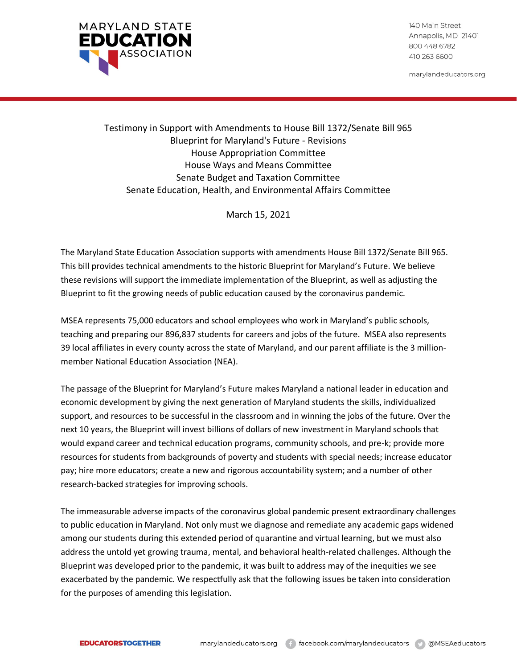

140 Main Street Annapolis, MD 21401 800 448 6782 410 263 6600

marylandeducators.org

# Testimony in Support with Amendments to House Bill 1372/Senate Bill 965 Blueprint for Maryland's Future - Revisions House Appropriation Committee House Ways and Means Committee Senate Budget and Taxation Committee Senate Education, Health, and Environmental Affairs Committee

March 15, 2021

The Maryland State Education Association supports with amendments House Bill 1372/Senate Bill 965. This bill provides technical amendments to the historic Blueprint for Maryland's Future. We believe these revisions will support the immediate implementation of the Blueprint, as well as adjusting the Blueprint to fit the growing needs of public education caused by the coronavirus pandemic.

MSEA represents 75,000 educators and school employees who work in Maryland's public schools, teaching and preparing our 896,837 students for careers and jobs of the future. MSEA also represents 39 local affiliates in every county across the state of Maryland, and our parent affiliate is the 3 millionmember National Education Association (NEA).

The passage of the Blueprint for Maryland's Future makes Maryland a national leader in education and economic development by giving the next generation of Maryland students the skills, individualized support, and resources to be successful in the classroom and in winning the jobs of the future. Over the next 10 years, the Blueprint will invest billions of dollars of new investment in Maryland schools that would expand career and technical education programs, community schools, and pre-k; provide more resources for students from backgrounds of poverty and students with special needs; increase educator pay; hire more educators; create a new and rigorous accountability system; and a number of other research-backed strategies for improving schools.

The immeasurable adverse impacts of the coronavirus global pandemic present extraordinary challenges to public education in Maryland. Not only must we diagnose and remediate any academic gaps widened among our students during this extended period of quarantine and virtual learning, but we must also address the untold yet growing trauma, mental, and behavioral health-related challenges. Although the Blueprint was developed prior to the pandemic, it was built to address may of the inequities we see exacerbated by the pandemic. We respectfully ask that the following issues be taken into consideration for the purposes of amending this legislation.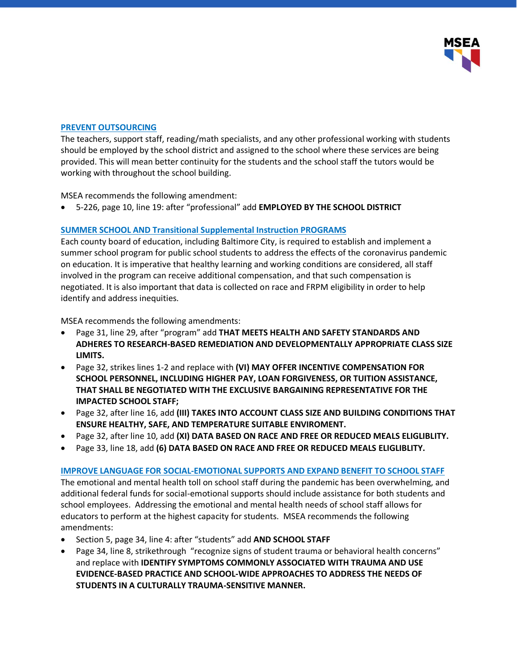

#### **PREVENT OUTSOURCING**

The teachers, support staff, reading/math specialists, and any other professional working with students should be employed by the school district and assigned to the school where these services are being provided. This will mean better continuity for the students and the school staff the tutors would be working with throughout the school building.

MSEA recommends the following amendment:

• 5-226, page 10, line 19: after "professional" add **EMPLOYED BY THE SCHOOL DISTRICT**

## **SUMMER SCHOOL AND Transitional Supplemental Instruction PROGRAMS**

Each county board of education, including Baltimore City, is required to establish and implement a summer school program for public school students to address the effects of the coronavirus pandemic on education. It is imperative that healthy learning and working conditions are considered, all staff involved in the program can receive additional compensation, and that such compensation is negotiated. It is also important that data is collected on race and FRPM eligibility in order to help identify and address inequities.

MSEA recommends the following amendments:

- Page 31, line 29, after "program" add **THAT MEETS HEALTH AND SAFETY STANDARDS AND ADHERES TO RESEARCH-BASED REMEDIATION AND DEVELOPMENTALLY APPROPRIATE CLASS SIZE LIMITS.**
- Page 32, strikes lines 1-2 and replace with **(VI) MAY OFFER INCENTIVE COMPENSATION FOR SCHOOL PERSONNEL, INCLUDING HIGHER PAY, LOAN FORGIVENESS, OR TUITION ASSISTANCE, THAT SHALL BE NEGOTIATED WITH THE EXCLUSIVE BARGAINING REPRESENTATIVE FOR THE IMPACTED SCHOOL STAFF;**
- Page 32, after line 16, add **(III) TAKES INTO ACCOUNT CLASS SIZE AND BUILDING CONDITIONS THAT ENSURE HEALTHY, SAFE, AND TEMPERATURE SUITABLE ENVIROMENT.**
- Page 32, after line 10, add **(XI) DATA BASED ON RACE AND FREE OR REDUCED MEALS ELIGLIBLITY.**
- Page 33, line 18, add **(6) DATA BASED ON RACE AND FREE OR REDUCED MEALS ELIGLIBLITY.**

#### **IMPROVE LANGUAGE FOR SOCIAL-EMOTIONAL SUPPORTS AND EXPAND BENEFIT TO SCHOOL STAFF**

The emotional and mental health toll on school staff during the pandemic has been overwhelming, and additional federal funds for social-emotional supports should include assistance for both students and school employees. Addressing the emotional and mental health needs of school staff allows for educators to perform at the highest capacity for students. MSEA recommends the following amendments:

- Section 5, page 34, line 4: after "students" add **AND SCHOOL STAFF**
- Page 34, line 8, strikethrough "recognize signs of student trauma or behavioral health concerns" and replace with **IDENTIFY SYMPTOMS COMMONLY ASSOCIATED WITH TRAUMA AND USE EVIDENCE-BASED PRACTICE AND SCHOOL-WIDE APPROACHES TO ADDRESS THE NEEDS OF STUDENTS IN A CULTURALLY TRAUMA-SENSITIVE MANNER.**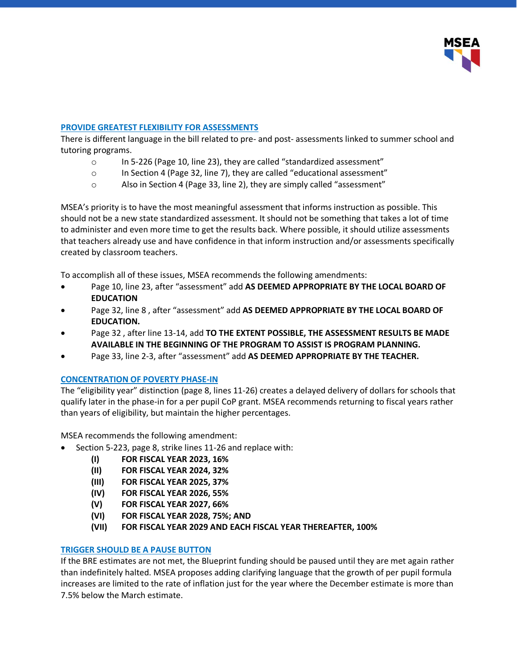

### **PROVIDE GREATEST FLEXIBILITY FOR ASSESSMENTS**

There is different language in the bill related to pre- and post- assessments linked to summer school and tutoring programs.

- o In 5-226 (Page 10, line 23), they are called "standardized assessment"
- $\circ$  In Section 4 (Page 32, line 7), they are called "educational assessment"
- o Also in Section 4 (Page 33, line 2), they are simply called "assessment"

MSEA's priority is to have the most meaningful assessment that informs instruction as possible. This should not be a new state standardized assessment. It should not be something that takes a lot of time to administer and even more time to get the results back. Where possible, it should utilize assessments that teachers already use and have confidence in that inform instruction and/or assessments specifically created by classroom teachers.

To accomplish all of these issues, MSEA recommends the following amendments:

- Page 10, line 23, after "assessment" add **AS DEEMED APPROPRIATE BY THE LOCAL BOARD OF EDUCATION**
- Page 32, line 8 , after "assessment" add **AS DEEMED APPROPRIATE BY THE LOCAL BOARD OF EDUCATION.**
- Page 32 , after line 13-14, add **TO THE EXTENT POSSIBLE, THE ASSESSMENT RESULTS BE MADE AVAILABLE IN THE BEGINNING OF THE PROGRAM TO ASSIST IS PROGRAM PLANNING.**
- Page 33, line 2-3, after "assessment" add **AS DEEMED APPROPRIATE BY THE TEACHER.**

#### **CONCENTRATION OF POVERTY PHASE-IN**

The "eligibility year" distinction (page 8, lines 11-26) creates a delayed delivery of dollars for schools that qualify later in the phase-in for a per pupil CoP grant. MSEA recommends returning to fiscal years rather than years of eligibility, but maintain the higher percentages.

MSEA recommends the following amendment:

- Section 5-223, page 8, strike lines 11-26 and replace with:
	- **(I) FOR FISCAL YEAR 2023, 16%**
	- **(II) FOR FISCAL YEAR 2024, 32%**
	- **(III) FOR FISCAL YEAR 2025, 37%**
	- **(IV) FOR FISCAL YEAR 2026, 55%**
	- **(V) FOR FISCAL YEAR 2027, 66%**
	- **(VI) FOR FISCAL YEAR 2028, 75%; AND**
	- **(VII) FOR FISCAL YEAR 2029 AND EACH FISCAL YEAR THEREAFTER, 100%**

#### **TRIGGER SHOULD BE A PAUSE BUTTON**

If the BRE estimates are not met, the Blueprint funding should be paused until they are met again rather than indefinitely halted. MSEA proposes adding clarifying language that the growth of per pupil formula increases are limited to the rate of inflation just for the year where the December estimate is more than 7.5% below the March estimate.